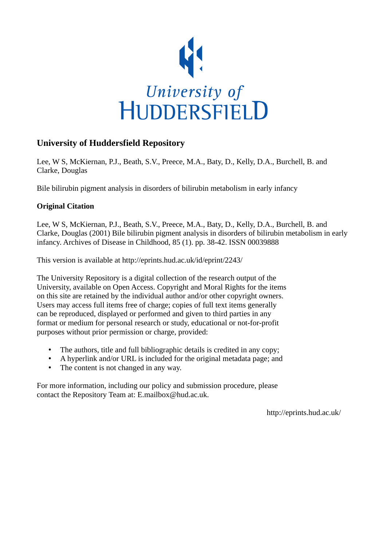

## **University of Huddersfield Repository**

Lee, W S, McKiernan, P.J., Beath, S.V., Preece, M.A., Baty, D., Kelly, D.A., Burchell, B. and Clarke, Douglas

Bile bilirubin pigment analysis in disorders of bilirubin metabolism in early infancy

## **Original Citation**

Lee, W S, McKiernan, P.J., Beath, S.V., Preece, M.A., Baty, D., Kelly, D.A., Burchell, B. and Clarke, Douglas (2001) Bile bilirubin pigment analysis in disorders of bilirubin metabolism in early infancy. Archives of Disease in Childhood, 85 (1). pp. 38-42. ISSN 00039888

This version is available at http://eprints.hud.ac.uk/id/eprint/2243/

The University Repository is a digital collection of the research output of the University, available on Open Access. Copyright and Moral Rights for the items on this site are retained by the individual author and/or other copyright owners. Users may access full items free of charge; copies of full text items generally can be reproduced, displayed or performed and given to third parties in any format or medium for personal research or study, educational or not-for-profit purposes without prior permission or charge, provided:

- The authors, title and full bibliographic details is credited in any copy;
- A hyperlink and/or URL is included for the original metadata page; and
- The content is not changed in any way.

For more information, including our policy and submission procedure, please contact the Repository Team at: E.mailbox@hud.ac.uk.

http://eprints.hud.ac.uk/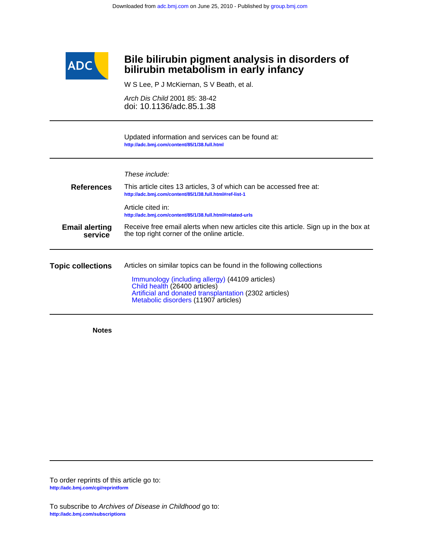

## **bilirubin metabolism in early infancy Bile bilirubin pigment analysis in disorders of**

W S Lee, P J McKiernan, S V Beath, et al.

doi: 10.1136/adc.85.1.38 Arch Dis Child 2001 85: 38-42

**<http://adc.bmj.com/content/85/1/38.full.html>** Updated information and services can be found at:

|                                                                                                                                                                         | These include:                                                                                                                                                                                                                                             |  |  |  |  |  |  |  |
|-------------------------------------------------------------------------------------------------------------------------------------------------------------------------|------------------------------------------------------------------------------------------------------------------------------------------------------------------------------------------------------------------------------------------------------------|--|--|--|--|--|--|--|
| <b>References</b>                                                                                                                                                       | This article cites 13 articles, 3 of which can be accessed free at:<br>http://adc.bmj.com/content/85/1/38.full.html#ref-list-1                                                                                                                             |  |  |  |  |  |  |  |
|                                                                                                                                                                         | Article cited in:<br>http://adc.bmj.com/content/85/1/38.full.html#related-urls                                                                                                                                                                             |  |  |  |  |  |  |  |
| Receive free email alerts when new articles cite this article. Sign up in the box at<br><b>Email alerting</b><br>the top right corner of the online article.<br>service |                                                                                                                                                                                                                                                            |  |  |  |  |  |  |  |
|                                                                                                                                                                         |                                                                                                                                                                                                                                                            |  |  |  |  |  |  |  |
| <b>Topic collections</b>                                                                                                                                                | Articles on similar topics can be found in the following collections<br>Immunology (including allergy) (44109 articles)<br>Child health (26400 articles)<br>Artificial and donated transplantation (2302 articles)<br>Metabolic disorders (11907 articles) |  |  |  |  |  |  |  |

**Notes**

**<http://adc.bmj.com/cgi/reprintform>** To order reprints of this article go to: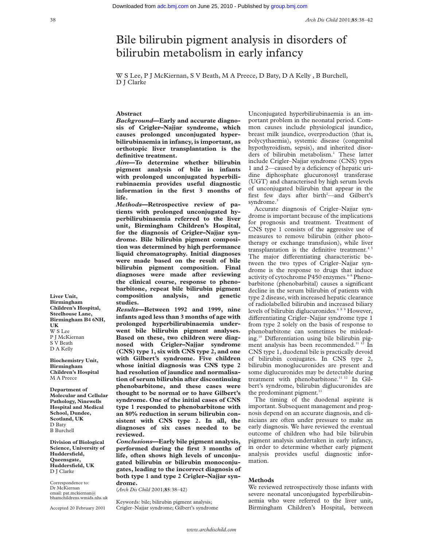# Bile bilirubin pigment analysis in disorders of bilirubin metabolism in early infancy

W S Lee, P J McKiernan, S V Beath, M A Preece, D Baty, D A Kelly , B Burchell, D J Clarke

## **Abstract**

*Background***—Early and accurate diagnosis of Crigler–Najjar syndrome, which causes prolonged unconjugated hyperbilirubinaemia in infancy, is important, as orthotopic liver transplantation is the definitive treatment.**

*Aim***—To determine whether bilirubin pigment analysis of bile in infants with prolonged unconjugated hyperbilirubinaemia provides useful diagnostic information in the first 3 months of life.**

*Methods***—Retrospective review of patients with prolonged unconjugated hyperbilirubinaemia referred to the liver unit, Birmingham Children's Hospital, for the diagnosis of Crigler–Najjar syndrome. Bile bilirubin pigment composition was determined by high performance liquid chromatography. Initial diagnoses were made based on the result of bile bilirubin pigment composition. Final diagnoses were made after reviewing the clinical course, response to phenobarbitone, repeat bile bilirubin pigment composition analysis, and genetic studies.**

*Results***—Between 1992 and 1999, nine infants aged less than 3 months of age with prolonged hyperbilirubinaemia underwent bile bilirubin pigment analyses. Based on these, two children were diagnosed with Crigler–Najjar syndrome (CNS) type 1, six with CNS type 2, and one with Gilbert's syndrome. Five children whose initial diagnosis was CNS type 2 had resolution of jaundice and normalisation of serum bilirubin after discontinuing phenobarbitone, and these cases were thought to be normal or to have Gilbert's syndrome. One of the initial cases of CNS type 1 responded to phenobarbitone with an 80% reduction in serum bilirubin consistent with CNS type 2. In all, the diagnoses of six cases needed to be reviewed.**

*Conclusions***—Early bile pigment analysis, performed during the first 3 months of life, often shows high levels of unconjugated bilirubin or bilirubin monoconjugates, leading to the incorrect diagnosis of both type 1 and type 2 Crigler–Najjar syndrome.**

(*Arch Dis Child* 2001;**85**:38–42)

Keywords: bile; bilirubin pigment analysis; Crigler–Najjar syndrome; Gilbert's syndrome Unconjugated hyperbilirubinaemia is an important problem in the neonatal period. Common causes include physiological jaundice, breast milk jaundice, overproduction (that is, polycythaemia), systemic disease (congenital hypothyroidism, sepsis), and inherited disorders of bilirubin metabolism.<sup>1</sup> These latter include Crigler–Najjar syndrome (CNS) types 1 and 2—caused by a deficiency of hepatic uridine diphosphate glucuronosyl transferase (UGT) and characterised by high serum levels of unconjugated bilirubin that appear in the first few days after birth<sup>2</sup>—and Gilbert's syndrome.<sup>3</sup>

Accurate diagnosis of Crigler–Najjar syndrome is important because of the implications for prognosis and treatment. Treatment of CNS type 1 consists of the aggressive use of measures to remove bilirubin (either phototherapy or exchange transfusion), while liver transplantation is the definitive treatment.<sup>45</sup> The major differentiating characteristic between the two types of Crigler–Najjar syndrome is the response to drugs that induce activity of cytochrome P450 enzymes.<sup>6-8</sup> Phenobarbitone (phenobarbital) causes a significant decline in the serum bilirubin of patients with type 2 disease, with increased hepatic clearance of radiolabelled bilirubin and increased biliary levels of bilirubin diglucuronides.<sup>689</sup> However, differentiating Crigler-Najjar syndrome type 1 from type 2 solely on the basis of response to phenobarbitone can sometimes be misleading.<sup>10</sup> Differentiation using bile bilirubin pigment analysis has been recommended.<sup>11 12</sup> In CNS type 1, duodenal bile is practically devoid of bilirubin conjugates. In CNS type 2, bilirubin monoglucuronides are present and some diglucuronides may be detectable during treatment with phenobarbitone.<sup>11 12</sup> In Gilbert's syndrome, bilirubin diglucuronides are the predominant pigment.<sup>11</sup>

The timing of the duodenal aspirate is important. Subsequent management and prognosis depend on an accurate diagnosis, and clinicians are often under pressure to make an early diagnosis. We have reviewed the eventual outcome of children who had bile bilirubin pigment analysis undertaken in early infancy, in order to determine whether early pigment analysis provides useful diagnostic information.

#### **Methods**

We reviewed retrospectively those infants with severe neonatal unconjugated hyperbilirubinaemia who were referred to the liver unit, Birmingham Children's Hospital, between

**Liver Unit, Birmingham Children's Hospital, Steelhouse Lane, Birmingham B4 6NH, UK** W S Lee P J McKiernan S V Beath D A Kelly

**Biochemistry Unit, Birmingham Children's Hospital** M A Preece

**Department of Molecular and Cellular Pathology, Ninewells Hospital and Medical School, Dundee, Scotland, UK** D Baty B Burchell

**Division of Biological Science, University of Huddersfield, Queensgate, Huddersfield, UK** D J Clarke

Correspondence to: Dr McKiernan email: pat.mckiernan@ bhamchildrens.wmids.nhs.uk

Accepted 20 February 2001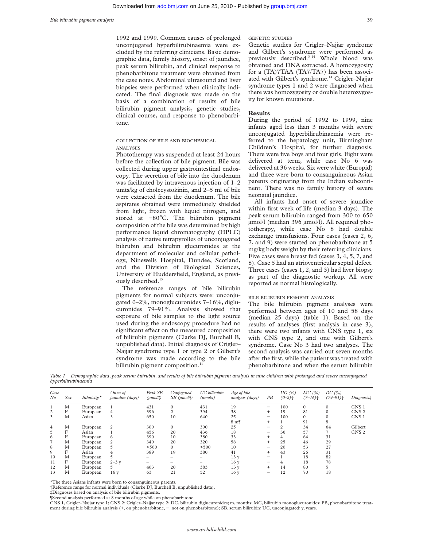1992 and 1999. Common causes of prolonged unconjugated hyperbilirubinaemia were excluded by the referring clinicians. Basic demographic data, family history, onset of jaundice, peak serum bilirubin, and clinical response to phenobarbitone treatment were obtained from the case notes. Abdominal ultrasound and liver biopsies were performed when clinically indicated. The final diagnosis was made on the basis of a combination of results of bile bilirubin pigment analysis, genetic studies, clinical course, and response to phenobarbitone.

COLLECTION OF BILE AND BIOCHEMICAL ANALYSES

Phototherapy was suspended at least 24 hours before the collection of bile pigment. Bile was collected during upper gastrointestinal endoscopy. The secretion of bile into the duodenum was facilitated by intravenous injection of 1–2 units/kg of cholecystokinin, and 2–5 ml of bile were extracted from the duodenum. The bile aspirates obtained were immediately shielded from light, frozen with liquid nitrogen, and stored at −80°C. The bilirubin pigment composition of the bile was determined by high performance liquid chromatography (HPLC) analysis of native tetrapyrolles of unconjugated bilirubin and bilirubin glucuronides at the department of molecular and cellular pathology, Ninewells Hospital, Dundee, Scotland, and the Division of Biological Sciences, University of Huddersfield, England, as previously described.<sup>13</sup>

The reference ranges of bile bilirubin pigments for normal subjects were: unconjugated 0–2%, monoglucuronides 7–16%, diglucuronides 79–91%. Analysis showed that exposure of bile samples to the light source used during the endoscopy procedure had no significant effect on the measured composition of bilirubin pigments (Clarke DJ, Burchell B, unpublished data). Initial diagnosis of Crigler– Najjar syndrome type 1 or type 2 or Gilbert's syndrome was made according to the bile bilirubin pigment composition.<sup>1</sup>

Genetic studies for Crigler–Najjar syndrome and Gilbert's syndrome were performed as previously described.<sup>3 14</sup> Whole blood was obtained and DNA extracted. A homozygosity for a (TA)7TAA (TA7/TA7) has been associated with Gilbert's syndrome.<sup>14</sup> Crigler-Najjar syndrome types 1 and 2 were diagnosed when there was homozygosity or double heterozygosity for known mutations.

### **Results**

During the period of 1992 to 1999, nine infants aged less than 3 months with severe unconjugated hyperbilirubinaemia were referred to the hepatology unit, Birmingham Children's Hospital, for further diagnosis. There were five boys and four girls. Eight were delivered at term, while case No 6 was delivered at 36 weeks. Six were white (Europid) and three were born to consanguineous Asian parents originating from the Indian subcontinent. There was no family history of severe neonatal jaundice.

All infants had onset of severe jaundice within first week of life (median 3 days). The peak serum bilirubin ranged from 300 to 650 µmol/l (median 396 µmol/l). All required phototherapy, while case No 8 had double exchange transfusions. Four cases (cases 2, 6, 7, and 9) were started on phenobarbitone at 5 mg/kg body weight by their referring clinicians. Five cases were breast fed (cases 3, 4, 5, 7, and 8). Case 5 had an atrioventricular septal defect. Three cases (cases 1, 2, and 3) had liver biopsy as part of the diagnostic workup. All were reported as normal histologically.

## BILE BILIRUBIN PIGMENT ANALYSIS

The bile bilirubin pigment analyses were performed between ages of 10 and 58 days (median 25 days) (table 1). Based on the results of analyses (first analysis in case 3), there were two infants with CNS type 1, six with CNS type 2, and one with Gilbert's syndrome. Case No 3 had two analyses. The second analysis was carried out seven months after the first, while the patient was treated with phenobarbitone and when the serum bilirubin

*Table 1 Demographic data, peak serum bilirubin, and results of bile bilirubin pigment analysis in nine children with prolonged and severe unconjugated hyperbilirubinaemia*

| Case<br>$N$ o  | Sex | $Ethnicity*$ | Onset of<br>jaundice (days) | Peak SB<br>(umol/l)      | Conjugated<br>$SB$ ( $umoll$ ) | UC bilirubin<br>$(\mu mol/l)$ | Age of bile<br>analysis (days) | PB                       | UC $(%)$<br>$(0-2)$ <sup>+</sup> | MC (%)<br>$(7-16)$ <sup>+</sup> | DC(%)<br>$(79 - 91)$ <sup>+</sup> | Diagnosis‡       |
|----------------|-----|--------------|-----------------------------|--------------------------|--------------------------------|-------------------------------|--------------------------------|--------------------------|----------------------------------|---------------------------------|-----------------------------------|------------------|
|                | M   | European     |                             | 431                      | $\mathbf{0}$                   | 431                           | 19                             | -                        | 100                              |                                 | $\Omega$                          | CNS <sub>1</sub> |
| $\overline{c}$ | F   | European     | $\overline{4}$              | 396                      | $\overline{c}$                 | 394                           | 38                             | $\ddot{}$                | 19                               | 81                              | $\Omega$                          | CNS <sub>2</sub> |
| 3              | M   | Asian        | 3                           | 650                      | 10                             | 640                           | 25                             | $\qquad \qquad$          | 100                              |                                 | $\Omega$                          | CNS <sub>1</sub> |
|                |     |              |                             |                          |                                |                               | $8 \text{ m}$                  | $\ddot{}$                |                                  | 91                              | 8                                 |                  |
| $\overline{4}$ | M   | European     | 2                           | 300                      | $\mathbf{0}$                   | 300                           | 25                             | -                        | $\overline{c}$                   | 34                              | 64                                | Gilbert          |
| 5              | F   | Asian        |                             | 456                      | 20                             | 436                           | 18                             | -                        | 36                               | 57                              |                                   | CNS <sub>2</sub> |
| 6              | F   | European     | 6                           | 390                      | 10                             | 380                           | 33                             | $+$                      | 4                                | 64                              | 31                                |                  |
| $\overline{7}$ | M   | European     | 2                           | 340                      | 20                             | 320                           | 58                             | $+$                      | 25                               | 46                              | 29                                |                  |
| 8              | M   | European     | 5                           | >500                     | $\Omega$                       | >500                          | 10                             | -                        | 20                               | 53                              | 27                                |                  |
| 9              | F   | Asian        | $\overline{4}$              | 389                      | 19                             | 380                           | 41                             | $+$                      | 43                               | 26                              | 31                                |                  |
| 10             | M   | European     | 5                           |                          | -                              | -                             | 13 <sub>v</sub>                | $\overline{\phantom{0}}$ |                                  | 18                              | 82                                |                  |
| 11             | F   | European     | $2 - 3y$                    | $\overline{\phantom{0}}$ | -                              | -                             | 16 y                           | -                        | 4                                | 18                              | 78                                |                  |
| 12             | M   | European     | 5.                          | 403                      | 20                             | 383                           | 13 <sub>v</sub>                | $\ddot{}$                | 14                               | 80                              | 5                                 |                  |
| 13             | M   | European     | 16 <sub>V</sub>             | 63                       | 21                             | 52                            | 16 y                           | $\overline{\phantom{0}}$ | 12                               | 70                              | 18                                |                  |

\*The three Asians infants were born to consanguineous parents.

†Reference range for normal individuals (Clarke DJ, Burchell B, unpublished data).

‡Diagnoses based on analysis of bile bilirubin pigments.

¶Second analysis performed at 8 months of age while on phenobarbitone.

CNS 1, Crigler–Najjar type 1; CNS 2: Crigler–Najjar type 2; DC, bilirubin diglucuronides; m, months; MC, bilirubin monoglucuronides; PB, phenobarbitone treatment during bile bilirubin analysis (+, on phenobarbitone, −, not on phenobarbitone); SB, serum bilirubin; UC, unconjugated; y, years.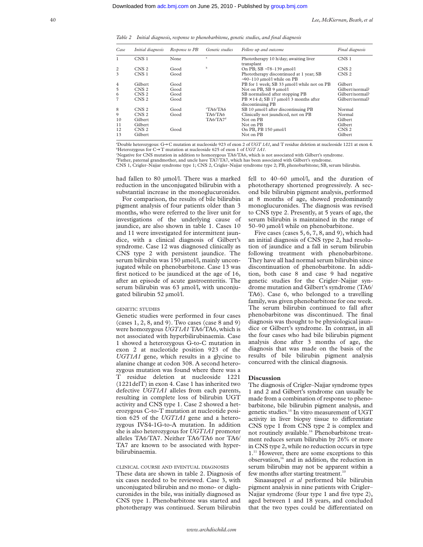*Table 2 Initial diagnosis, response to phenobarbitone, genetic studies, and final diagnosis*

| Case           | <i>Initial diagnosis</i> | Response to PB | Genetic studies      | Follow up and outcome                                                       | Final diagnosis  |
|----------------|--------------------------|----------------|----------------------|-----------------------------------------------------------------------------|------------------|
| 1              | CNS <sub>1</sub>         | None           | a                    | Phototherapy 10 h/day; awaiting liver<br>transplant                         | CNS <sub>1</sub> |
| 2              | CNS <sub>2</sub>         | Good           | b                    | On PB; SB ~78-139 µmol/l                                                    | CNS <sub>2</sub> |
| 3              | CNS <sub>1</sub>         | Good           |                      | Phototherapy discontinued at 1 year; SB<br>$\sim$ 90–110 µmol/l while on PB | CNS <sub>2</sub> |
| $\overline{4}$ | Gilbert                  | Good           |                      | PB for 1 week; SB 33 µmol/l while not on PB                                 | Gilbert          |
| 5              | CNS <sub>2</sub>         | Good           |                      | Not on PB, SB 9 µmol/l                                                      | Gilbert/normal?  |
| 6              | CNS <sub>2</sub>         | Good           |                      | SB normalised after stopping PB                                             | Gilbert/normal?  |
| $\overline{7}$ | CNS <sub>2</sub>         | Good           |                      | $PB \times 14$ d; SB 17 µmol/13 months after<br>discontinuing PB            | Gilbert/normal?  |
| 8              | CNS <sub>2</sub>         | Good           | TAA/TA6              | SB 10 µmol/l after discontinuing PB                                         | Normal           |
| 9              | CNS <sub>2</sub>         | Good           | TA6/TA6              | Clinically not jaundiced, not on PB                                         | Normal           |
| 10             | Gilbert                  |                | TA6/TA7 <sup>d</sup> | Not on PB                                                                   | Gilbert          |
| 11             | Gilbert                  |                |                      | Not on PB                                                                   | Gilbert          |
| 12             | CNS <sub>2</sub>         | Good           |                      | On PB, PB 150 μmol/l                                                        | CNS <sub>2</sub> |
| 13             | Gilbert                  |                |                      | Not on PB                                                                   | Gilbert          |

a Double heterozygous: G→C mutation at nucleoside 923 of exon 2 of *UGT 1A1,* and T residue deletion at nucleoside 1221 at exon 4. b Heterozygous for C→T mutation at nucleoside 625 of exon 1 of *UGT 1A1*.

c Negative for CNS mutation in addition to homozygous TA6/TA6, which is not associated with Gilbert's syndrome.

d Father, paternal grandmother, and uncle have TA7/TA7, which has been associated with Gilbert's syndrome.

CNS 1, Crigler–Najjar syndrome type 1; CNS 2, Crigler–Najjar syndrome type 2; PB, phenobarbitone; SB, serum bilirubin.

had fallen to 80 µmol/l. There was a marked reduction in the unconjugated bilirubin with a substantial increase in the monoglucuronides.

For comparison, the results of bile bilirubin pigment analysis of four patients older than 3 months, who were referred to the liver unit for investigations of the underlying cause of jaundice, are also shown in table 1. Cases 10 and 11 were investigated for intermittent jaundice, with a clinical diagnosis of Gilbert's syndrome. Case 12 was diagnosed clinically as CNS type 2 with persistent jaundice. The serum bilirubin was 150 µmol/l, mainly unconjugated while on phenobarbitone. Case 13 was first noticed to be jaundiced at the age of 16, after an episode of acute gastroenteritis. The serum bilirubin was 63 µmol/l, with unconjugated bilirubin 52 µmol/l.

#### GENETIC STUDIES

Genetic studies were performed in four cases (cases 1, 2, 8, and 9). Two cases (case 8 and 9) were homozygous *UGT1A1* TA6/TA6, which is not associated with hyperbilirubinaemia. Case 1 showed a heterozygous G-to-C mutation in exon 2 at nucleotide position 923 of the *UGT1A1* gene, which results in a glycine to alanine change at codon 308. A second heterozygous mutation was found where there was a T residue deletion at nucleoside 1221 (1221delT) in exon 4. Case 1 has inherited two defective *UGT1A1* alleles from each parents, resulting in complete loss of bilirubin UGT activity and CNS type 1. Case 2 showed a heterozygous C-to-T mutation at nucleotide position 625 of the *UGT1A1* gene and a heterozygous IVS4-1G-to-A mutation. In addition she is also heterozygous for *UGT1A1* promoter alleles TA6/TA7. Neither TA6/TA6 nor TA6/ TA7 are known to be associated with hyperbilirubinaemia.

### CLINICAL COURSE AND EVENTUAL DIAGNOSES

These data are shown in table 2. Diagnosis of six cases needed to be reviewed. Case 3, with unconjugated bilirubin and no mono- or diglucuronides in the bile, was initially diagnosed as CNS type 1. Phenobarbitone was started and phototherapy was continued. Serum bilirubin

fell to 40–60 µmol/l, and the duration of phototherapy shortened progressively. A second bile bilirubin pigment analysis, performed at 8 months of age, showed predominantly monoglucuronides. The diagnosis was revised to CNS type 2. Presently, at 5 years of age, the serum bilirubin is maintained in the range of 50–90 µmol/l while on phenobarbitone.

Five cases (cases 5, 6, 7, 8, and 9), which had an initial diagnosis of CNS type 2, had resolution of jaundice and a fall in serum bilirubin following treatment with phenobarbitone. They have all had normal serum bilirubin since discontinuation of phenobarbitone. In addition, both case 8 and case 9 had negative genetic studies for the Crigler–Najjar syndrome mutation and Gilbert's syndrome (TA6/ TA6). Case 6, who belonged to a travelling family, was given phenobarbitone for one week. The serum bilirubin continued to fall after phenobarbitone was discontinued. The final diagnosis was thought to be physiological jaundice or Gilbert's syndrome. In contrast, in all the four cases who had bile bilirubin pigment analysis done after 3 months of age, the diagnosis that was made on the basis of the results of bile bilirubin pigment analysis concurred with the clinical diagnosis.

#### **Discussion**

The diagnosis of Crigler–Najjar syndrome types 1 and 2 and Gilbert's syndrome can usually be made from a combination of response to phenobarbitone, bile bilirubin pigment analysis, and genetic studies.15 In vitro measurement of UGT activity in liver biopsy tissue to differentiate CNS type 1 from CNS type 2 is complex and not routinely available.<sup>16</sup> Phenobarbitone treatment reduces serum bilirubin by 26% or more in CNS type 2, while no reduction occurs in type 1.11 However, there are some exceptions to this observation,<sup>16</sup> and in addition, the reduction in serum bilirubin may not be apparent within a few months after starting treatment. $10$ 

Sinaasappel *et al* performed bile bilirubin pigment analysis in nine patients with Crigler– Najjar syndrome (four type 1 and five type 2), aged between 1 and 18 years, and concluded that the two types could be differentiated on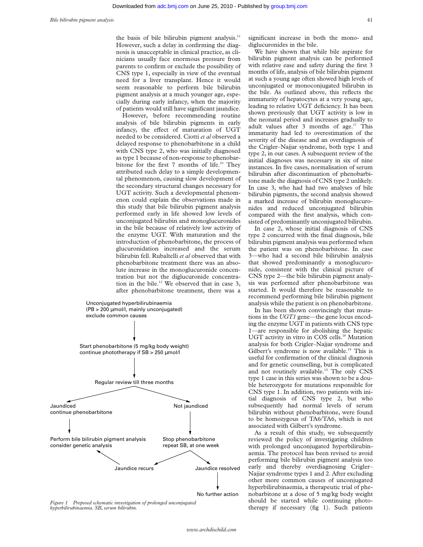the basis of bile bilirubin pigment analysis.<sup>11</sup> However, such a delay in confirming the diagnosis is unacceptable in clinical practice, as clinicians usually face enormous pressure from parents to confirm or exclude the possibility of CNS type 1, especially in view of the eventual need for a liver transplant. Hence it would seem reasonable to perform bile bilirubin pigment analysis at a much younger age, especially during early infancy, when the majority of patients would still have significant jaundice.

However, before recommending routine analysis of bile bilirubin pigments in early infancy, the effect of maturation of UGT needed to be considered. Ciotti *et al* observed a delayed response to phenobarbitone in a child with CNS type 2, who was initially diagnosed as type 1 because of non-response to phenobarbitone for the first 7 months of life.<sup>10</sup> They attributed such delay to a simple developmental phenomenon, causing slow development of the secondary structural changes necessary for UGT activity. Such a developmental phenomenon could explain the observations made in this study that bile bilirubin pigment analysis performed early in life showed low levels of unconjugated bilirubin and monoglucuronides in the bile because of relatively low activity of the enzyme UGT. With maturation and the introduction of phenobarbitone, the process of glucuronidation increased and the serum bilirubin fell. Rubaltelli *et al* observed that with phenobarbitone treatment there was an absolute increase in the monoglucuronide concentration but not the diglucuronide concentration in the bile.12 We observed that in case 3, after phenobarbitone treatment, there was a



Figure 1 Proposed schematic investigation of prolonged unconjugated<br> *hyperbilirubinaemia*. SB, serum bilirubin.<br> **herapy** if necessary (fig 1). Such patients *hyperbilirubinaemia. SB, serum bilirubin.*

significant increase in both the mono- and diglucuronides in the bile.

We have shown that while bile aspirate for bilirubin pigment analysis can be performed with relative ease and safety during the first 3 months of life, analysis of bile bilirubin pigment at such a young age often showed high levels of unconjugated or monoconjugated bilirubin in the bile. As outlined above, this reflects the immaturity of hepatocytes at a very young age, leading to relative UGT deficiency. It has been shown previously that UGT activity is low in the neonatal period and increases gradually to adult values after 3 months of age.<sup>17</sup> This immaturity had led to overestimation of the severity of the disease and an overdiagnosis of the Crigler–Najjar syndrome, both type 1 and type 2, in our cases. A subsequent review of the initial diagnoses was necessary in six of nine instances. In five cases, normalisation of serum bilirubin after discontinuation of phenobarbitone made the diagnosis of CNS type 2 unlikely. In case 3, who had had two analyses of bile bilirubin pigments, the second analysis showed a marked increase of bilirubin monoglucuronides and reduced unconjugated bilirubin compared with the first analysis, which consisted of predominantly unconjugated bilirubin.

In case 2, whose initial diagnosis of CNS type 2 concurred with the final diagnosis, bile bilirubin pigment analysis was performed when the patient was on phenobarbitone. In case 3—who had a second bile bilirubin analysis that showed predominantly a monoglucuronide, consistent with the clinical picture of CNS type 2—the bile bilirubin pigment analysis was performed after phenobarbitone was started. It would therefore be reasonable to recommend performing bile bilirubin pigment analysis while the patient is on phenobarbitone.

In has been shown convincingly that mutations in the *UGT1* gene—the gene locus encoding the enzyme UGT in patients with CNS type 1—are responsible for abolishing the hepatic UGT activity in vitro in COS cells.<sup>18</sup> Mutation analysis for both Crigler–Najjar syndrome and Gilbert's syndrome is now available.<sup>19</sup> This is useful for confirmation of the clinical diagnosis and for genetic counselling, but is complicated and not routinely available.<sup>15</sup> The only CNS type 1 case in this series was shown to be a double heterozygote for mutations responsible for CNS type 1. In addition, two patients with initial diagnosis of CNS type 2, but who subsequently had normal levels of serum bilirubin without phenobarbitone, were found to be homozygous of TA6/TA6, which is not associated with Gilbert's syndrome.

As a result of this study, we subsequently reviewed the policy of investigating children with prolonged unconjugated hyperbilirubinaemia. The protocol has been revised to avoid performing bile bilirubin pigment analysis too early and thereby overdiagnosing Crigler– Najjar syndrome types 1 and 2. After excluding other more common causes of unconjugated hyperbilirubinaemia, a therapeutic trial of phenobarbitone at a dose of 5 mg/kg body weight should be started while continuing photo-